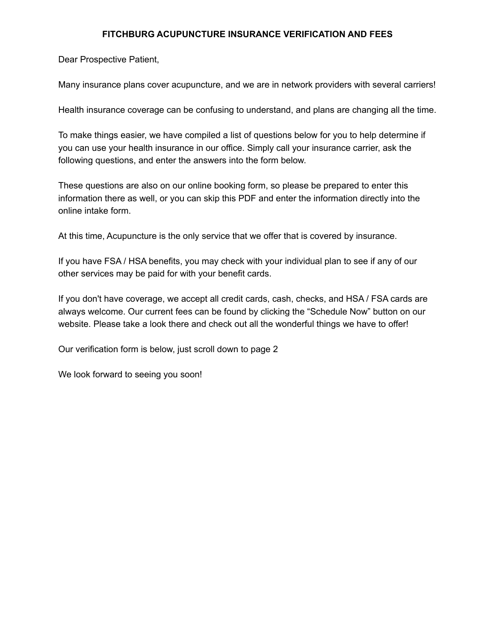## **FITCHBURG ACUPUNCTURE INSURANCE VERIFICATION AND FEES**

Dear Prospective Patient,

Many insurance plans cover acupuncture, and we are in network providers with several carriers!

Health insurance coverage can be confusing to understand, and plans are changing all the time.

To make things easier, we have compiled a list of questions below for you to help determine if you can use your health insurance in our office. Simply call your insurance carrier, ask the following questions, and enter the answers into the form below.

These questions are also on our online booking form, so please be prepared to enter this information there as well, or you can skip this PDF and enter the information directly into the online intake form.

At this time, Acupuncture is the only service that we offer that is covered by insurance.

If you have FSA / HSA benefits, you may check with your individual plan to see if any of our other services may be paid for with your benefit cards.

If you don't have coverage, we accept all credit cards, cash, checks, and HSA / FSA cards are always welcome. Our current fees can be found by clicking the "Schedule Now" button on our website. Please take a look there and check out all the wonderful things we have to offer!

Our verification form is below, just scroll down to page 2

We look forward to seeing you soon!